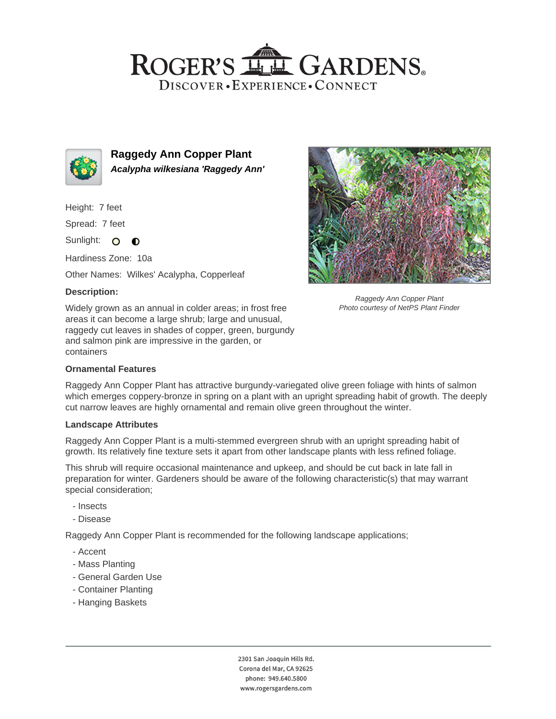## ROGER'S LL GARDENS. DISCOVER · EXPERIENCE · CONNECT



**Raggedy Ann Copper Plant Acalypha wilkesiana 'Raggedy Ann'**

Height: 7 feet

Spread: 7 feet

Sunlight: O  $\bullet$ 

Hardiness Zone: 10a

Other Names: Wilkes' Acalypha, Copperleaf

## **Description:**

Widely grown as an annual in colder areas; in frost free areas it can become a large shrub; large and unusual, raggedy cut leaves in shades of copper, green, burgundy and salmon pink are impressive in the garden, or containers



Raggedy Ann Copper Plant Photo courtesy of NetPS Plant Finder

## **Ornamental Features**

Raggedy Ann Copper Plant has attractive burgundy-variegated olive green foliage with hints of salmon which emerges coppery-bronze in spring on a plant with an upright spreading habit of growth. The deeply cut narrow leaves are highly ornamental and remain olive green throughout the winter.

#### **Landscape Attributes**

Raggedy Ann Copper Plant is a multi-stemmed evergreen shrub with an upright spreading habit of growth. Its relatively fine texture sets it apart from other landscape plants with less refined foliage.

This shrub will require occasional maintenance and upkeep, and should be cut back in late fall in preparation for winter. Gardeners should be aware of the following characteristic(s) that may warrant special consideration;

- Insects
- Disease

Raggedy Ann Copper Plant is recommended for the following landscape applications;

- Accent
- Mass Planting
- General Garden Use
- Container Planting
- Hanging Baskets

2301 San Joaquin Hills Rd. Corona del Mar, CA 92625 phone: 949.640.5800 www.rogersgardens.com